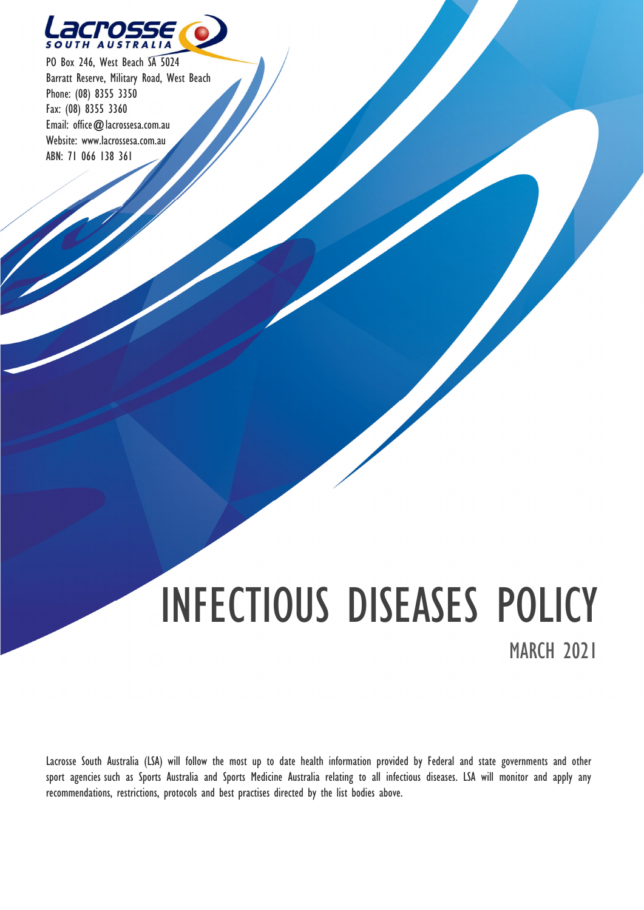

PO Box 246, West Beach SA 5024 Barratt Reserve, Military Road, West Beach Phone: (08) 8355 3350 Fax: (08) 8355 3360 Email: office@lacrossesa.com.au Website: www.lacrossesa.com.au ABN: 71 066 138 361

# INFECTIOUS DISEASES POLICY **MARCH 2021**

Lacrosse South Australia (LSA) will follow the most up to date health information provided by Federal and state governments and other sport agencies such as Sports Australia and Sports Medicine Australia relating to all infectious diseases. LSA will monitor and apply any recommendations, restrictions, protocols and best practises directed by the list bodies above.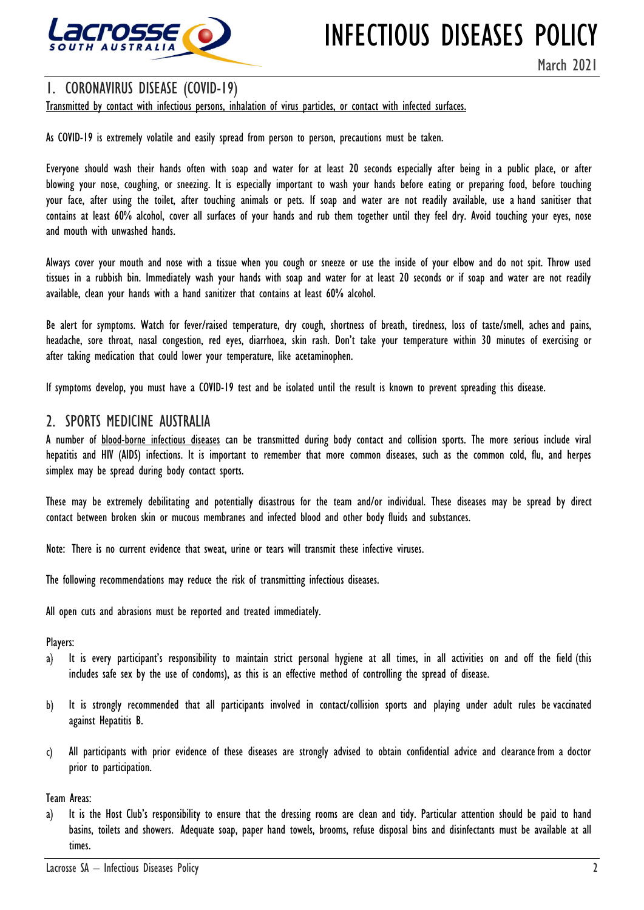

## INFECTIOUS DISEASES POLICY

March 2021

1. CORONAVIRUS DISEASE (COVID-19)<br>Transmitted by contact with infectious persons, inhalation of virus particles, or contact with infected surfaces.

As COVID-19 is extremely volatile and easily spread from person to person, precautions must be taken.

Everyone should wash their hands often with soap and water for at least 20 seconds especially after being in a public place, or after blowing your nose, coughing, or sneezing. It is especially important to wash your hands before eating or preparing food, before touching your face, after using the toilet, after touching animals or pets. If soap and water are not readily available, use a hand sanitiser that contains at least 60% alcohol, cover all surfaces of your hands and rub them together until they feel dry. Avoid touching your eyes, nose and mouth with unwashed hands.

Always cover your mouth and nose with a tissue when you cough or sneeze or use the inside of your elbow and do not spit. Throw used tissues in a rubbish bin. Immediately wash your hands with soap and water for at least 20 seconds or if soap and water are not readily available, clean your hands with a hand sanitizer that contains at least 60% alcohol.

Be alert for symptoms. Watch for fever/raised temperature, dry cough, shortness of breath, tiredness, loss of taste/smell, aches and pains, headache, sore throat, nasal congestion, red eyes, diarrhoea, skin rash. Don't take your temperature within 30 minutes of exercising or after taking medication that could lower your temperature, like acetaminophen.

If symptoms develop, you must have a COVID-19 test and be isolated until the result is known to prevent spreading this disease.

2. SPORTS MEDICINE AUSTRALIA<br>A number of <u>blood-borne infectious diseases</u> can be transmitted during body contact and collision sports. The more serious include viral hepatitis and HIV (AIDS) infections. It is important to remember that more common diseases, such as the common cold, flu, and herpes simplex may be spread during body contact sports.

These may be extremely debilitating and potentially disastrous for the team and/or individual. These diseases may be spread by direct contact between broken skin or mucous membranes and infected blood and other body fluids and substances.

Note: There is no current evidence that sweat, urine or tears will transmit these infective viruses.

The following recommendations may reduce the risk of transmitting infectious diseases.

All open cuts and abrasions must be reported and treated immediately.

Players:

- It is every participant's responsibility to maintain strict personal hygiene at all times, in all activities on and off the field (this a) includes safe sex by the use of condoms), as this is an effective method of controlling the spread of disease.
- It is strongly recommended that all participants involved in contact/collision sports and playing under adult rules be vaccinated  $\mathbf{b}$ against Hepatitis B.
- All participants with prior evidence of these diseases are strongly advised to obtain confidential advice and clearance from a doctor c) prior to participation.

Team Areas:

a) It is the Host Club's responsibility to ensure that the dressing rooms are clean and tidy. Particular attention should be paid to hand basins, toilets and showers. Adequate soap, paper hand towels, brooms, refuse disposal bins and disinfectants must be available at all times.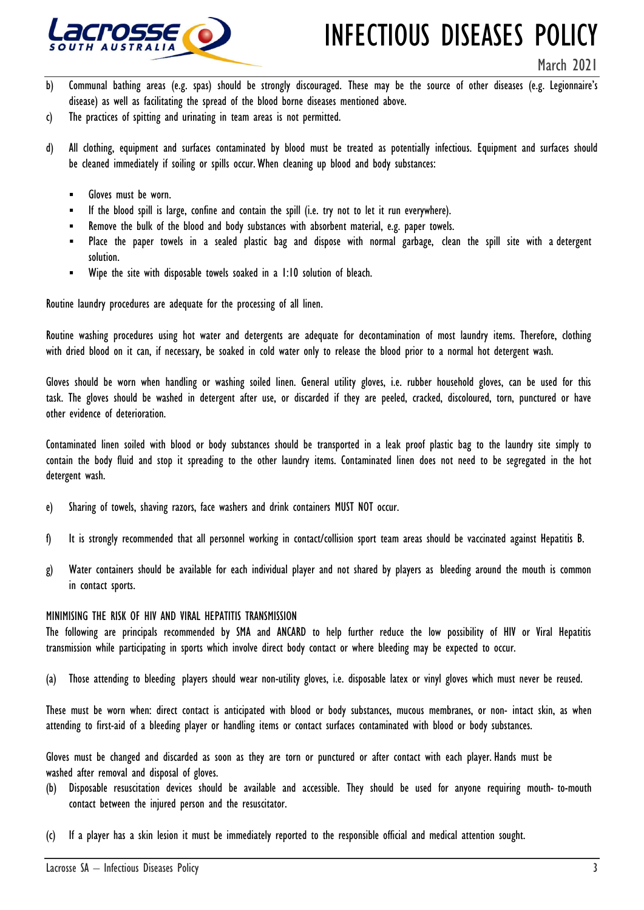

## INFECTIOUS DISEASES POLICY

March 2021

- b) Communal bathing areas (e.g. spas) should be strongly discouraged. These may be the source of other diseases (e.g. Legionnaire's disease) as well as facilitating the spread of the blood borne diseases mentioned above.
- c) The practices of spitting and urinating in team areas is not permitted.
- d) All clothing, equipment and surfaces contaminated by blood must be treated as potentially infectious. Equipment and surfaces should be cleaned immediately if soiling or spills occur. When cleaning up blood and body substances:
	- Gloves must be worn.
	- If the blood spill is large, confine and contain the spill (i.e. try not to let it run everywhere).
	- Remove the bulk of the blood and body substances with absorbent material, e.g. paper towels.
	- Place the paper towels in a sealed plastic bag and dispose with normal garbage, clean the spill site with a detergent solution.
	- Wipe the site with disposable towels soaked in a 1:10 solution of bleach.

Routine laundry procedures are adequate for the processing of all linen.

Routine washing procedures using hot water and detergents are adequate for decontamination of most laundry items. Therefore, clothing with dried blood on it can, if necessary, be soaked in cold water only to release the blood prior to a normal hot detergent wash.

Gloves should be worn when handling or washing soiled linen. General utility gloves, i.e. rubber household gloves, can be used for this task. The gloves should be washed in detergent after use, or discarded if they are peeled, cracked, discoloured, torn, punctured or have other evidence of deterioration.

Contaminated linen soiled with blood or body substances should be transported in a leak proof plastic bag to the laundry site simply to contain the body fluid and stop it spreading to the other laundry items. Contaminated linen does not need to be segregated in the hot detergent wash.

- e) Sharing of towels, shaving razors, face washers and drink containers MUST NOT occur.
- f) It is strongly recommended that all personnel working in contact/collision sport team areas should be vaccinated against Hepatitis B.
- g) Water containers should be available for each individual player and not shared by players as bleeding around the mouth is common in contact sports.

### MINIMISING THE RISK OF HIV AND VIRAL HEPATITIS TRANSMISSION

The following are principals recommended by SMA and ANCARD to help further reduce the low possibility of HIV or Viral Hepatitis transmission while participating in sports which involve direct body contact or where bleeding may be expected to occur.

(a) Those attending to bleeding players should wear non-utility gloves, i.e. disposable latex or vinyl gloves which must never be reused.

These must be worn when: direct contact is anticipated with blood or body substances, mucous membranes, or non- intact skin, as when attending to first-aid of a bleeding player or handling items or contact surfaces contaminated with blood or body substances.

Gloves must be changed and discarded as soon as they are torn or punctured or after contact with each player. Hands must be washed after removal and disposal of gloves.

- (b) Disposable resuscitation devices should be available and accessible. They should be used for anyone requiring mouth- to-mouth contact between the injured person and the resuscitator.
- (c) If a player has a skin lesion it must be immediately reported to the responsible official and medical attention sought.